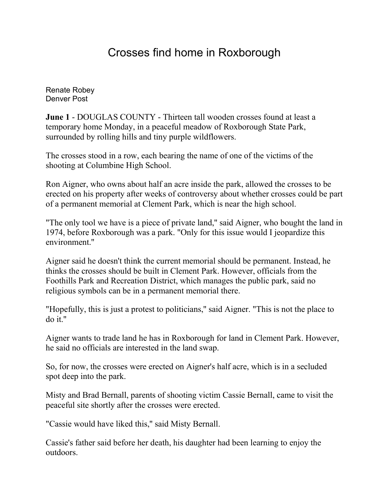## Crosses find home in Roxborough

[Renate Robey](mailto:newsroom@denverpost.com) Denver Post

**June 1** - DOUGLAS COUNTY - Thirteen tall wooden crosses found at least a temporary home Monday, in a peaceful meadow of Roxborough State Park, surrounded by rolling hills and tiny purple wildflowers.

The crosses stood in a row, each bearing the name of one of the victims of the shooting at Columbine High School.

Ron Aigner, who owns about half an acre inside the park, allowed the crosses to be erected on his property after weeks of controversy about whether crosses could be part of a permanent memorial at Clement Park, which is near the high school.

"The only tool we have is a piece of private land,'' said Aigner, who bought the land in 1974, before Roxborough was a park. "Only for this issue would I jeopardize this environment.''

Aigner said he doesn't think the current memorial should be permanent. Instead, he thinks the crosses should be built in Clement Park. However, officials from the Foothills Park and Recreation District, which manages the public park, said no religious symbols can be in a permanent memorial there.

"Hopefully, this is just a protest to politicians,'' said Aigner. "This is not the place to  $d$ o it."

Aigner wants to trade land he has in Roxborough for land in Clement Park. However, he said no officials are interested in the land swap.

So, for now, the crosses were erected on Aigner's half acre, which is in a secluded spot deep into the park.

Misty and Brad Bernall, parents of shooting victim Cassie Bernall, came to visit the peaceful site shortly after the crosses were erected.

"Cassie would have liked this,'' said Misty Bernall.

Cassie's father said before her death, his daughter had been learning to enjoy the outdoors.